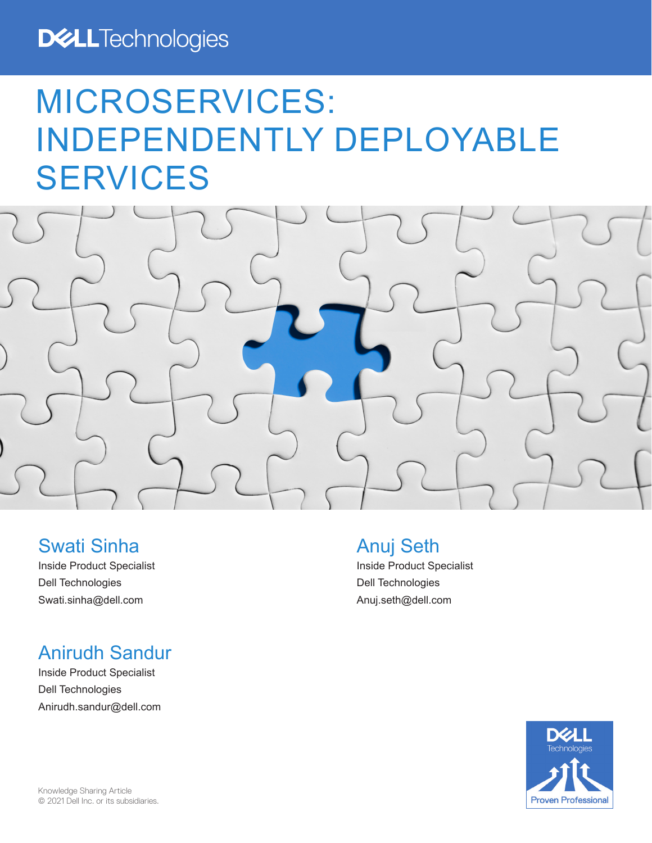# **DELL**Technologies

# MICROSERVICES: INDEPENDENTLY DEPLOYABLE SERVICES



# Swati Sinha

Inside Product Specialist Dell Technologies Swati.sinha@dell.com

# Anirudh Sandur

Inside Product Specialist Dell Technologies Anirudh.sandur@dell.com

# Anuj Seth

Inside Product Specialist Dell Technologies Anuj.seth@dell.com

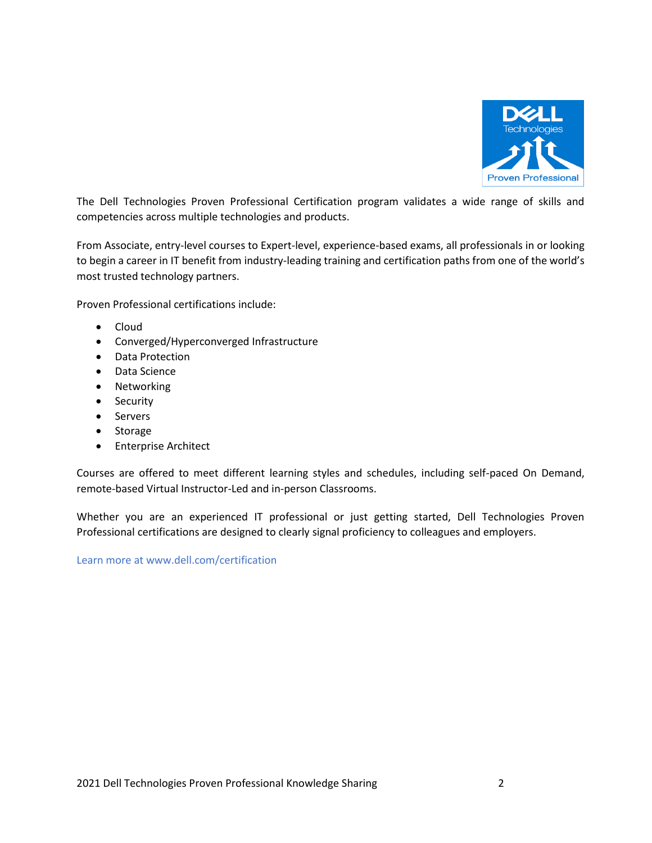

The Dell Technologies Proven Professional Certification program validates a wide range of skills and competencies across multiple technologies and products.

From Associate, entry-level courses to Expert-level, experience-based exams, all professionals in or looking to begin a career in IT benefit from industry-leading training and certification paths from one of the world's most trusted technology partners.

Proven Professional certifications include:

- Cloud
- Converged/Hyperconverged Infrastructure
- Data Protection
- Data Science
- Networking
- Security
- Servers
- Storage
- Enterprise Architect

Courses are offered to meet different learning styles and schedules, including self-paced On Demand, remote-based Virtual Instructor-Led and in-person Classrooms.

Whether you are an experienced IT professional or just getting started, Dell Technologies Proven Professional certifications are designed to clearly signal proficiency to colleagues and employers.

Learn more at www.dell.com/certification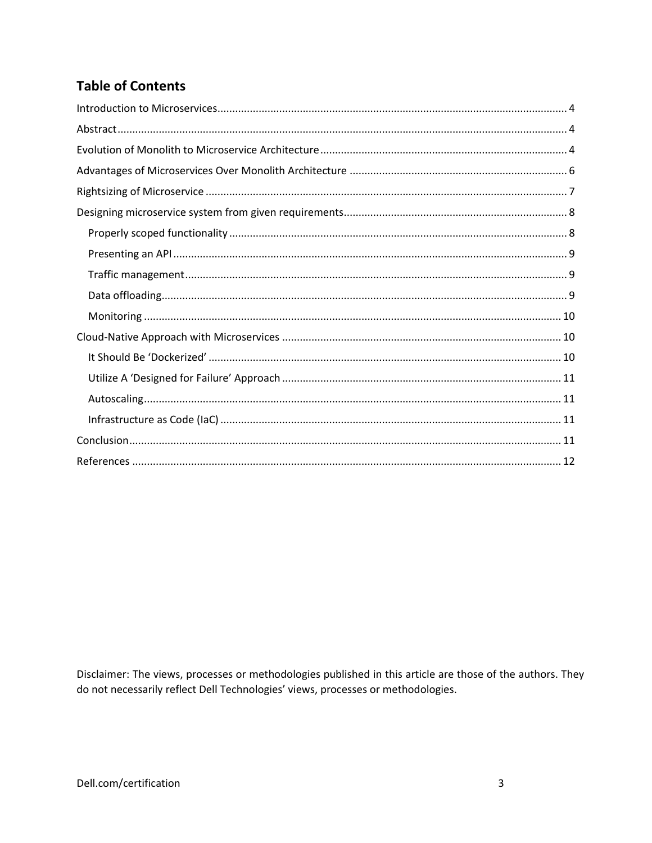# **Table of Contents**

Disclaimer: The views, processes or methodologies published in this article are those of the authors. They do not necessarily reflect Dell Technologies' views, processes or methodologies.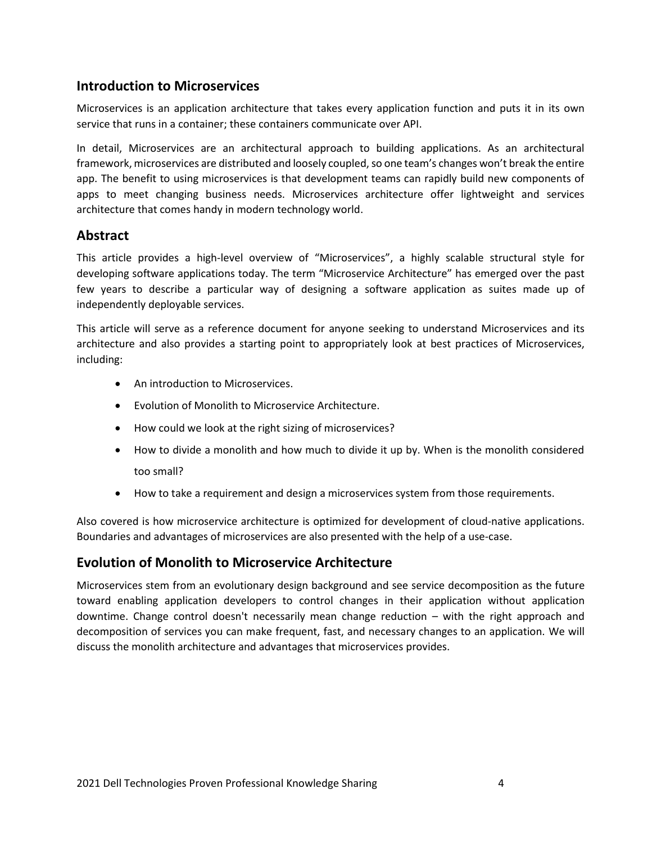## <span id="page-3-0"></span>**Introduction to Microservices**

Microservices is an application architecture that takes every application function and puts it in its own service that runs in a container; these containers communicate over API.

In detail, Microservices are an architectural approach to building applications. As an architectural framework, microservices are distributed and loosely coupled, so one team's changes won't break the entire app. The benefit to using microservices is that development teams can rapidly build new components of apps to meet changing business needs. Microservices architecture offer lightweight and services architecture that comes handy in modern technology world.

## <span id="page-3-1"></span>**Abstract**

This article provides a high-level overview of "Microservices", a highly scalable structural style for developing software applications today. The term "Microservice Architecture" has emerged over the past few years to describe a particular way of designing a software application as suites made up of independently deployable services.

This article will serve as a reference document for anyone seeking to understand Microservices and its architecture and also provides a starting point to appropriately look at best practices of Microservices, including:

- An introduction to Microservices.
- Evolution of Monolith to Microservice Architecture.
- How could we look at the right sizing of microservices?
- How to divide a monolith and how much to divide it up by. When is the monolith considered too small?
- How to take a requirement and design a microservices system from those requirements.

Also covered is how microservice architecture is optimized for development of cloud-native applications. Boundaries and advantages of microservices are also presented with the help of a use-case.

#### <span id="page-3-2"></span>**Evolution of Monolith to Microservice Architecture**

Microservices stem from an evolutionary design background and see service decomposition as the future toward enabling application developers to control changes in their application without application downtime. Change control doesn't necessarily mean change reduction – with the right approach and decomposition of services you can make frequent, fast, and necessary changes to an application. We will discuss the monolith architecture and advantages that microservices provides.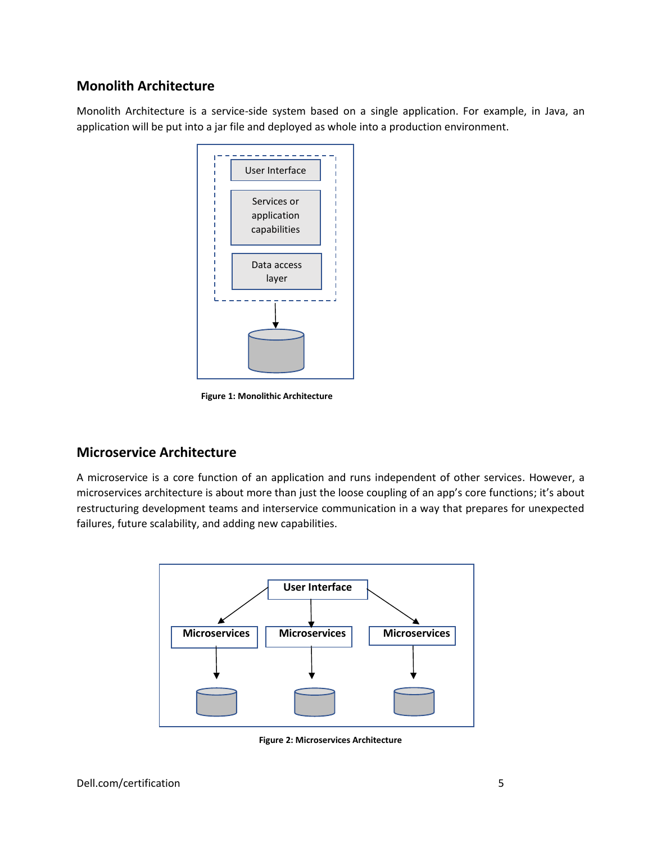# **Monolith Architecture**

Monolith Architecture is a service-side system based on a single application. For example, in Java, an application will be put into a jar file and deployed as whole into a production environment.



**Figure 1: Monolithic Architecture**

# **Microservice Architecture**

A microservice is a core function of an application and runs independent of other services. However, a microservices architecture is about more than just the loose coupling of an app's core functions; it's about restructuring development teams and interservice communication in a way that prepares for unexpected failures, future scalability, and adding new capabilities.



**Figure 2: Microservices Architecture**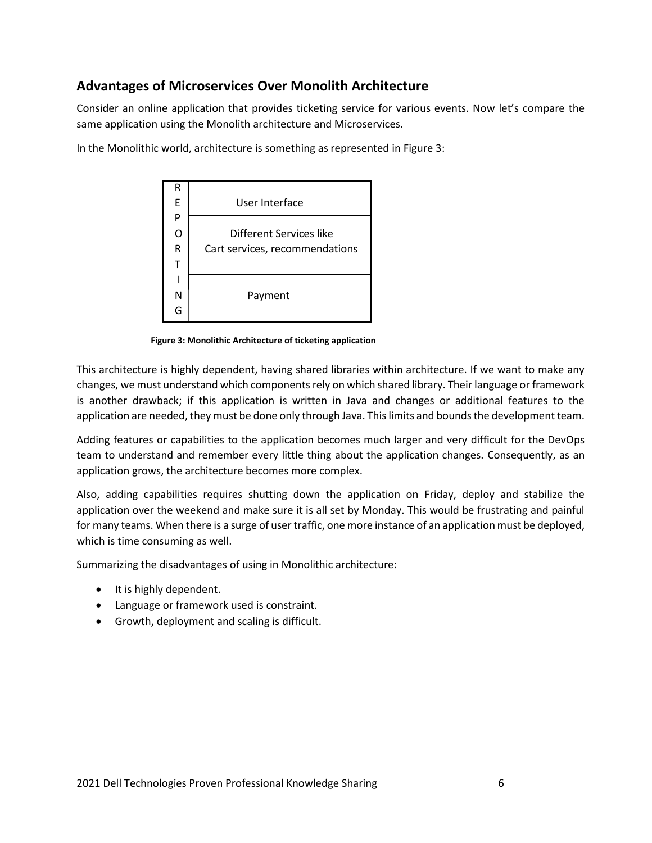# <span id="page-5-0"></span>**Advantages of Microservices Over Monolith Architecture**

Consider an online application that provides ticketing service for various events. Now let's compare the same application using the Monolith architecture and Microservices.





**Figure 3: Monolithic Architecture of ticketing application**

This architecture is highly dependent, having shared libraries within architecture. If we want to make any changes, we must understand which components rely on which shared library. Their language or framework is another drawback; if this application is written in Java and changes or additional features to the application are needed, they must be done only through Java. This limits and bounds the development team.

Adding features or capabilities to the application becomes much larger and very difficult for the DevOps team to understand and remember every little thing about the application changes. Consequently, as an application grows, the architecture becomes more complex.

Also, adding capabilities requires shutting down the application on Friday, deploy and stabilize the application over the weekend and make sure it is all set by Monday. This would be frustrating and painful for many teams. When there is a surge of user traffic, one more instance of an application must be deployed, which is time consuming as well.

Summarizing the disadvantages of using in Monolithic architecture:

- It is highly dependent.
- Language or framework used is constraint.
- Growth, deployment and scaling is difficult.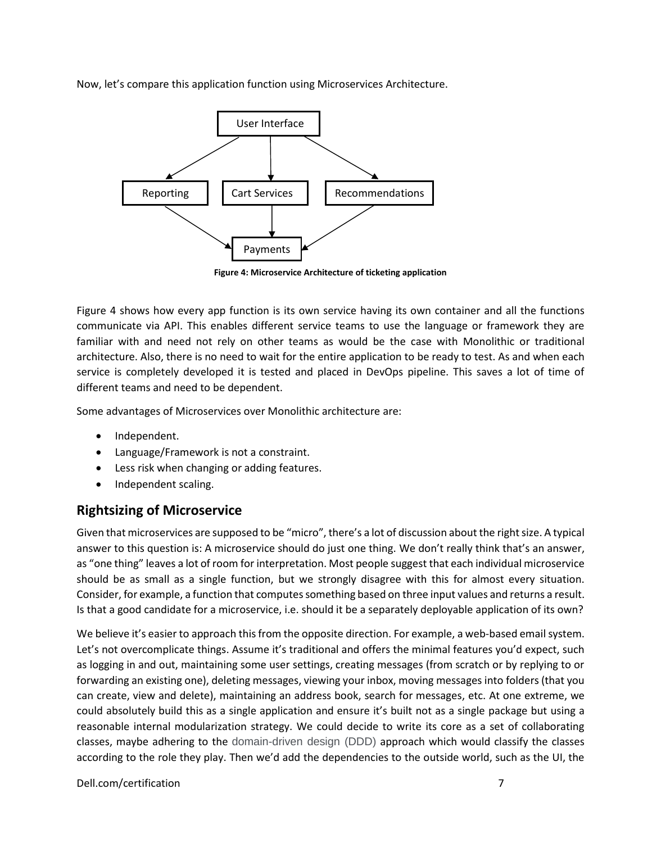Now, let's compare this application function using Microservices Architecture.



**Figure 4: Microservice Architecture of ticketing application**

Figure 4 shows how every app function is its own service having its own container and all the functions communicate via API. This enables different service teams to use the language or framework they are familiar with and need not rely on other teams as would be the case with Monolithic or traditional architecture. Also, there is no need to wait for the entire application to be ready to test. As and when each service is completely developed it is tested and placed in DevOps pipeline. This saves a lot of time of different teams and need to be dependent.

Some advantages of Microservices over Monolithic architecture are:

- Independent.
- Language/Framework is not a constraint.
- Less risk when changing or adding features.
- Independent scaling.

# <span id="page-6-0"></span>**Rightsizing of Microservice**

Given that microservices are supposed to be "micro", there's a lot of discussion about the right size. A typical answer to this question is: A microservice should do just one thing. We don't really think that's an answer, as "one thing" leaves a lot of room for interpretation. Most people suggest that each individual microservice should be as small as a single function, but we strongly disagree with this for almost every situation. Consider, for example, a function that computes something based on three input values and returns a result. Is that a good candidate for a microservice, i.e. should it be a separately deployable application of its own?

We believe it's easier to approach this from the opposite direction. For example, a web-based email system. Let's not overcomplicate things. Assume it's traditional and offers the minimal features you'd expect, such as logging in and out, maintaining some user settings, creating messages (from scratch or by replying to or forwarding an existing one), deleting messages, viewing your inbox, moving messages into folders (that you can create, view and delete), maintaining an address book, search for messages, etc. At one extreme, we could absolutely build this as a single application and ensure it's built not as a single package but using a reasonable internal modularization strategy. We could decide to write its core as a set of collaborating classes, maybe adhering to the domain-driven design (DDD) approach which would classify the classes according to the role they play. Then we'd add the dependencies to the outside world, such as the UI, the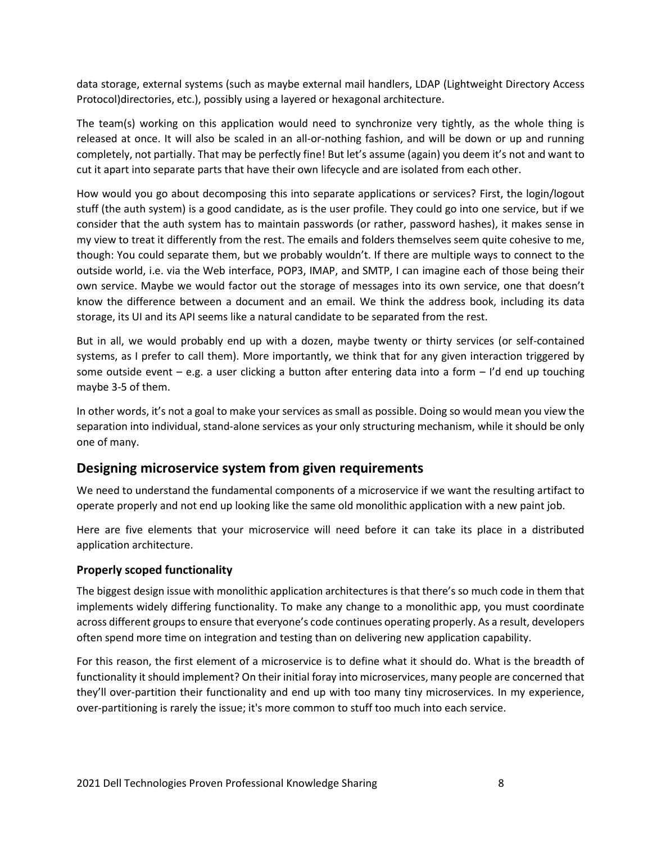data storage, external systems (such as maybe external mail handlers, LDAP (Lightweight Directory Access Protocol)directories, etc.), possibly using a layered or hexagonal architecture.

The team(s) working on this application would need to synchronize very tightly, as the whole thing is released at once. It will also be scaled in an all-or-nothing fashion, and will be down or up and running completely, not partially. That may be perfectly fine! But let's assume (again) you deem it's not and want to cut it apart into separate parts that have their own lifecycle and are isolated from each other.

How would you go about decomposing this into separate applications or services? First, the login/logout stuff (the auth system) is a good candidate, as is the user profile. They could go into one service, but if we consider that the auth system has to maintain passwords (or rather, password hashes), it makes sense in my view to treat it differently from the rest. The emails and folders themselves seem quite cohesive to me, though: You could separate them, but we probably wouldn't. If there are multiple ways to connect to the outside world, i.e. via the Web interface, POP3, IMAP, and SMTP, I can imagine each of those being their own service. Maybe we would factor out the storage of messages into its own service, one that doesn't know the difference between a document and an email. We think the address book, including its data storage, its UI and its API seems like a natural candidate to be separated from the rest.

But in all, we would probably end up with a dozen, maybe twenty or thirty services (or self-contained systems, as I prefer to call them). More importantly, we think that for any given interaction triggered by some outside event – e.g. a user clicking a button after entering data into a form – I'd end up touching maybe 3-5 of them.

In other words, it's not a goal to make your services as small as possible. Doing so would mean you view the separation into individual, stand-alone services as your only structuring mechanism, while it should be only one of many.

# <span id="page-7-0"></span>**Designing microservice system from given requirements**

We need to understand the fundamental components of a microservice if we want the resulting artifact to operate properly and not end up looking like the same old monolithic application with a new paint job.

Here are five elements that your microservice will need before it can take its place in a distributed application architecture.

#### <span id="page-7-1"></span>**Properly scoped functionality**

The biggest design issue with monolithic application architectures is that there's so much code in them that implements widely differing functionality. To make any change to a monolithic app, you must coordinate across different groups to ensure that everyone's code continues operating properly. As a result, developers often spend more time on integration and testing than on delivering new application capability.

For this reason, the first element of a microservice is to define what it should do. What is the breadth of functionality it should implement? On their initial foray into microservices, many people are concerned that they'll over-partition their functionality and end up with too many tiny microservices. In my experience, over-partitioning is rarely the issue; it's more common to stuff too much into each service.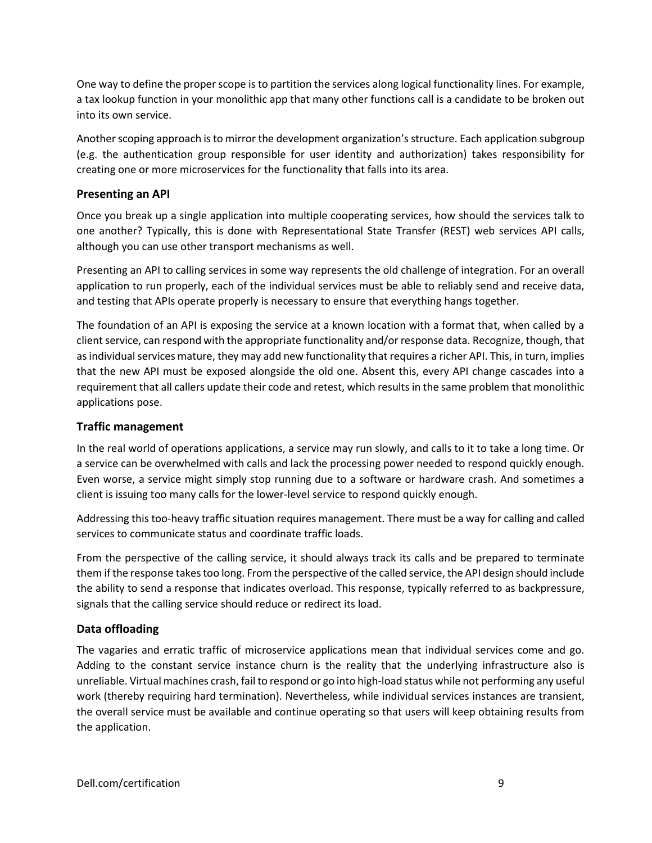One way to define the proper scope is to partition the services along logical functionality lines. For example, a tax lookup function in your monolithic app that many other functions call is a candidate to be broken out into its own service.

Another scoping approach is to mirror the development organization's structure. Each application subgroup (e.g. the authentication group responsible for user identity and authorization) takes responsibility for creating one or more microservices for the functionality that falls into its area.

#### <span id="page-8-0"></span>**Presenting an API**

Once you break up a single application into multiple cooperating services, how should the services talk to one another? Typically, this is done with Representational State Transfer (REST) web services API calls, although you can use other transport mechanisms as well.

Presenting an API to calling services in some way represents the old challenge of integration. For an overall application to run properly, each of the individual services must be able to reliably send and receive data, and testing that APIs operate properly is necessary to ensure that everything hangs together.

The foundation of an API is exposing the service at a known location with a format that, when called by a client service, can respond with the appropriate functionality and/or response data. Recognize, though, that as individual services mature, they may add new functionality that requires a richer API. This, in turn, implies that the new API must be exposed alongside the old one. Absent this, every API change cascades into a requirement that all callers update their code and retest, which results in the same problem that monolithic applications pose.

#### <span id="page-8-1"></span>**Traffic management**

In the real world of operations applications, a service may run slowly, and calls to it to take a long time. Or a service can be overwhelmed with calls and lack the processing power needed to respond quickly enough. Even worse, a service might simply stop running due to a software or hardware crash. And sometimes a client is issuing too many calls for the lower-level service to respond quickly enough.

Addressing this too-heavy traffic situation requires management. There must be a way for calling and called services to communicate status and coordinate traffic loads.

From the perspective of the calling service, it should always track its calls and be prepared to terminate them if the response takes too long. From the perspective of the called service, the API design should include the ability to send a response that indicates overload. This response, typically referred to as backpressure, signals that the calling service should reduce or redirect its load.

#### <span id="page-8-2"></span>**Data offloading**

The vagaries and erratic traffic of microservice applications mean that individual services come and go. Adding to the constant service instance churn is the reality that the underlying infrastructure also is unreliable. Virtual machines crash, fail to respond or go into high-load status while not performing any useful work (thereby requiring hard termination). Nevertheless, while individual services instances are transient, the overall service must be available and continue operating so that users will keep obtaining results from the application.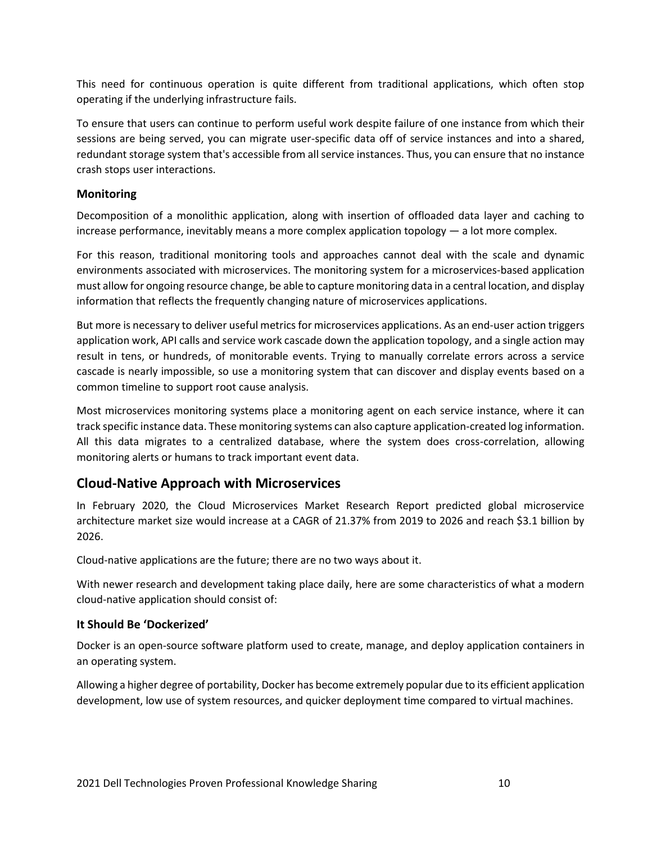This need for continuous operation is quite different from traditional applications, which often stop operating if the underlying infrastructure fails.

To ensure that users can continue to perform useful work despite failure of one instance from which their sessions are being served, you can migrate user-specific data off of service instances and into a shared, redundant storage system that's accessible from all service instances. Thus, you can ensure that no instance crash stops user interactions.

#### <span id="page-9-0"></span>**Monitoring**

Decomposition of a monolithic application, along with insertion of offloaded data layer and caching to increase performance, inevitably means a more complex application topology — a lot more complex.

For this reason, traditional monitoring tools and approaches cannot deal with the scale and dynamic environments associated with microservices. The monitoring system for a microservices-based application must allow for ongoing resource change, be able to capture monitoring data in a central location, and display information that reflects the frequently changing nature of microservices applications.

But more is necessary to deliver useful metrics for microservices applications. As an end-user action triggers application work, API calls and service work cascade down the application topology, and a single action may result in tens, or hundreds, of monitorable events. Trying to manually correlate errors across a service cascade is nearly impossible, so use a monitoring system that can discover and display events based on a common timeline to support root cause analysis.

Most microservices monitoring systems place a monitoring agent on each service instance, where it can track specific instance data. These monitoring systems can also capture application-created log information. All this data migrates to a centralized database, where the system does cross-correlation, allowing monitoring alerts or humans to track important event data.

# <span id="page-9-1"></span>**Cloud-Native Approach with Microservices**

In February 2020, the Cloud Microservices Market Research Report predicted global microservice architecture market size would increase at a CAGR of 21.37% from 2019 to 2026 and reach \$3.1 billion by 2026.

Cloud-native applications are the future; there are no two ways about it.

With newer research and development taking place daily, here are some characteristics of what a modern cloud-native application should consist of:

#### <span id="page-9-2"></span>**It Should Be 'Dockerized'**

Docker is an open-source software platform used to create, manage, and deploy application containers in an operating system.

Allowing a higher degree of portability, Docker has become extremely popular due to its efficient application development, low use of system resources, and quicker deployment time compared to virtual machines.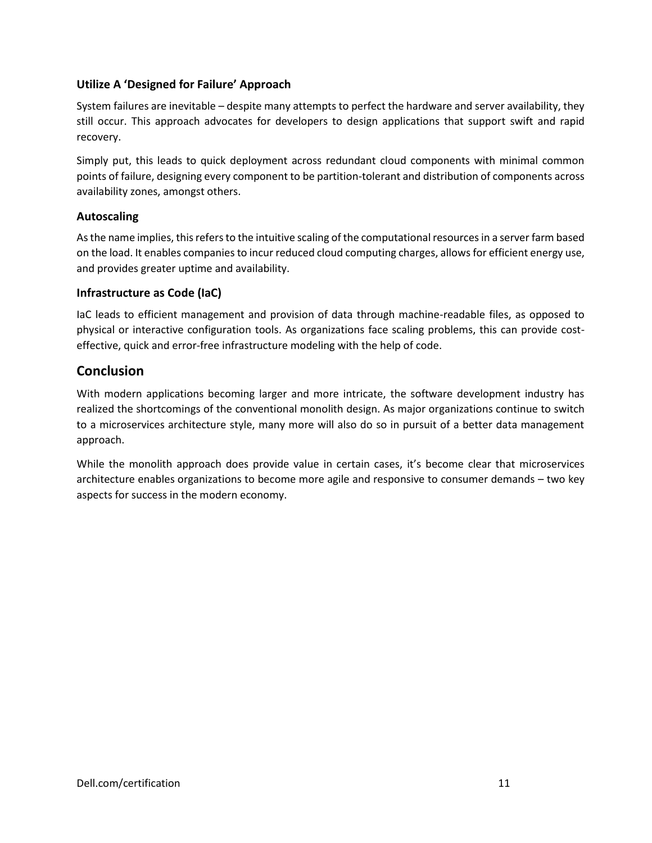#### <span id="page-10-0"></span>**Utilize A 'Designed for Failure' Approach**

System failures are inevitable – despite many attempts to perfect the hardware and server availability, they still occur. This approach advocates for developers to design applications that support swift and rapid recovery.

Simply put, this leads to quick deployment across redundant cloud components with minimal common points of failure, designing every component to be partition-tolerant and distribution of components across availability zones, amongst others.

#### <span id="page-10-1"></span>**Autoscaling**

As the name implies, this refers to the intuitive scaling of the computational resources in a server farm based on the load. It enables companies to incur reduced cloud computing charges, allows for efficient energy use, and provides greater uptime and availability.

#### <span id="page-10-2"></span>**Infrastructure as Code (IaC)**

IaC leads to efficient management and provision of data through machine-readable files, as opposed to physical or interactive configuration tools. As organizations face scaling problems, this can provide costeffective, quick and error-free infrastructure modeling with the help of code.

# <span id="page-10-3"></span>**Conclusion**

With modern applications becoming larger and more intricate, the software development industry has realized the shortcomings of the conventional monolith design. As major organizations continue to switch to a microservices architecture style, many more will also do so in pursuit of a better data management approach.

While the monolith approach does provide value in certain cases, it's become clear that microservices architecture enables organizations to become more agile and responsive to consumer demands – two key aspects for success in the modern economy.